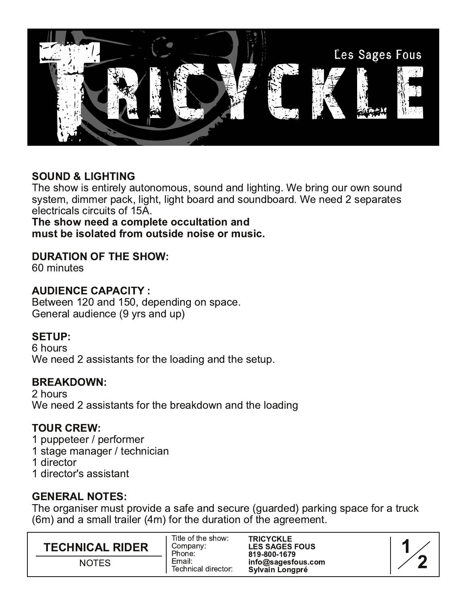

# **SOUND & LIGHTING**

The show is entirely autonomous, sound and lighting. We bring our own sound system, dimmer pack, light, light board and soundboard. We need 2 separates electricals circuits of 15A.

The show need a complete occultation and must be isolated from outside noise or music.

## **DURATION OF THE SHOW:**

60 minutes

## **AUDIENCE CAPACITY:**

Between 120 and 150, depending on space. General audience (9 yrs and up)

## **SETUP:**

6 hours We need 2 assistants for the loading and the setup.

### **BREAKDOWN:**

2 hours We need 2 assistants for the breakdown and the loading

## **TOUR CREW:**

- 1 puppeteer / performer
- 1 stage manager / technician
- 1 director
- 1 director's assistant

# **GENERAL NOTES:**

The organiser must provide a safe and secure (guarded) parking space for a truck (6m) and a small trailer (4m) for the duration of the agreement.

| <b>TECHNICAL RIDER</b> | Title of the show:<br>Company:<br>Phone: | <b>TRICYCKLE</b><br><b>LES SAGES FOUS</b><br>819-800-1679 |
|------------------------|------------------------------------------|-----------------------------------------------------------|
| <b>NOTES</b>           | Email:<br>Technical director:            | info@sagesfous.com<br>Sylvain Longpré                     |